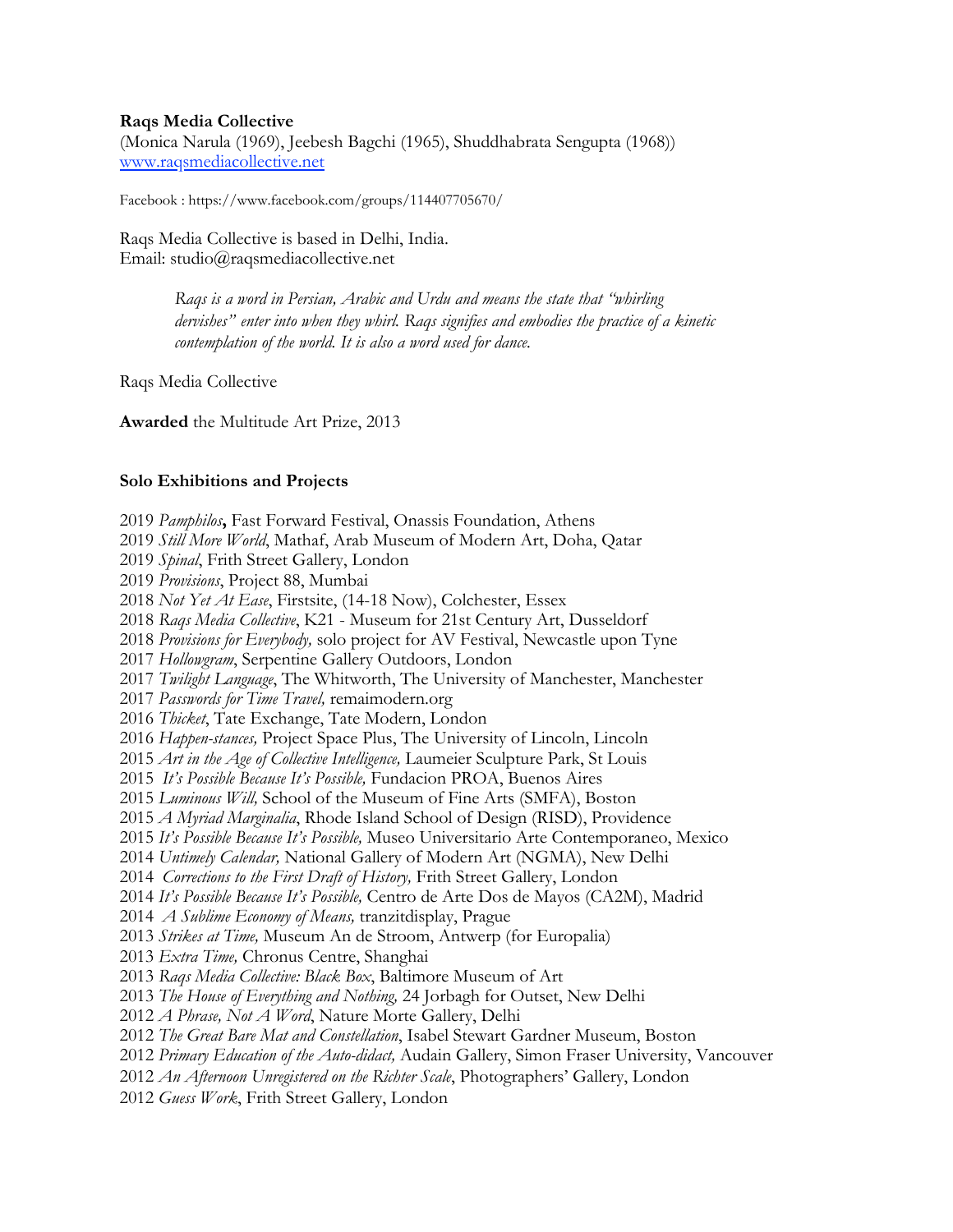# **Raqs Media Collective**

(Monica Narula (1969), Jeebesh Bagchi (1965), Shuddhabrata Sengupta (1968)) [www.raqsmediacollective.net](http://www.raqsmediacollective.net)

Facebook : https://www.facebook.com/groups/114407705670/

Raqs Media Collective is based in Delhi, India. Email: studio@raqsmediacollective.net

> *Raqs is a word in Persian, Arabic and Urdu and means the state that "whirling dervishes" enter into when they whirl. Raqs signifies and embodies the practice of a kinetic contemplation of the world. It is also a word used for dance.*

Raqs Media Collective

**Awarded** the Multitude Art Prize, 2013

## **Solo Exhibitions and Projects**

 *Pamphilos***,** Fast Forward Festival, Onassis Foundation, Athens *Still More World*, Mathaf, Arab Museum of Modern Art, Doha, Qatar *Spinal*, Frith Street Gallery, London *Provisions*, Project 88, Mumbai *Not Yet At Ease*, Firstsite, (14-18 Now), Colchester, Essex *Raqs Media Collective*, K21 - Museum for 21st Century Art, Dusseldorf *Provisions for Everybody,* solo project for AV Festival, Newcastle upon Tyne *Hollowgram*, Serpentine Gallery Outdoors, London *Twilight Language*, The Whitworth, The University of Manchester, Manchester *Passwords for Time Travel,* remaimodern.org *Thicket*, Tate Exchange, Tate Modern, London *Happen-stances,* Project Space Plus, The University of Lincoln, Lincoln *Art in the Age of Collective Intelligence,* Laumeier Sculpture Park, St Louis *It's Possible Because It's Possible,* Fundacion PROA, Buenos Aires *Luminous Will,* School of the Museum of Fine Arts (SMFA), Boston *A Myriad Marginalia*, Rhode Island School of Design (RISD), Providence *It's Possible Because It's Possible,* Museo Universitario Arte Contemporaneo, Mexico *Untimely Calendar,* National Gallery of Modern Art (NGMA), New Delhi *Corrections to the First Draft of History,* Frith Street Gallery, London *It's Possible Because It's Possible,* Centro de Arte Dos de Mayos (CA2M), Madrid *A Sublime Economy of Means,* tranzitdisplay, Prague *Strikes at Time,* Museum An de Stroom, Antwerp (for Europalia) *Extra Time,* Chronus Centre, Shanghai *Raqs Media Collective: Black Box*, Baltimore Museum of Art *The House of Everything and Nothing,* 24 Jorbagh for Outset, New Delhi *A Phrase, Not A Word*, Nature Morte Gallery, Delhi *The Great Bare Mat and Constellation*, Isabel Stewart Gardner Museum, Boston *Primary Education of the Auto-didact,* Audain Gallery, Simon Fraser University, Vancouver *An Afternoon Unregistered on the Richter Scale*, Photographers' Gallery, London *Guess Work*, Frith Street Gallery, London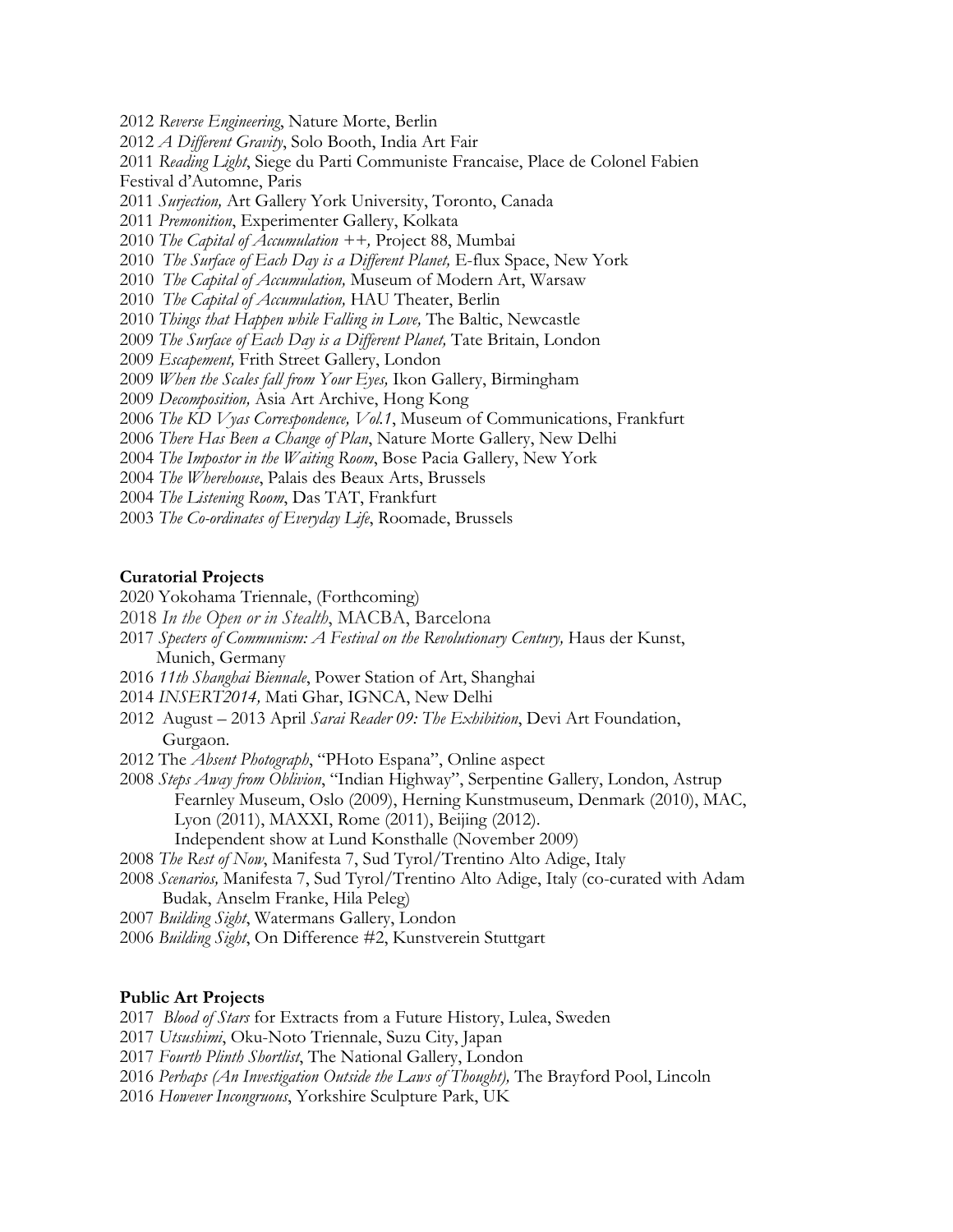*Reverse Engineering*, Nature Morte, Berlin *A Different Gravity*, Solo Booth, India Art Fair *Reading Light*, Siege du Parti Communiste Francaise, Place de Colonel Fabien Festival d'Automne, Paris *Surjection,* Art Gallery York University, Toronto, Canada *Premonition*, Experimenter Gallery, Kolkata *The Capital of Accumulation ++,* Project 88, Mumbai *The Surface of Each Day is a Different Planet,* E-flux Space, New York *The Capital of Accumulation,* Museum of Modern Art, Warsaw *The Capital of Accumulation,* HAU Theater, Berlin *Things that Happen while Falling in Love,* The Baltic, Newcastle *The Surface of Each Day is a Different Planet,* Tate Britain, London *Escapement,* Frith Street Gallery, London *When the Scales fall from Your Eyes,* Ikon Gallery, Birmingham *Decomposition,* Asia Art Archive, Hong Kong *The KD Vyas Correspondence, Vol.1*, Museum of Communications, Frankfurt *There Has Been a Change of Plan*, Nature Morte Gallery, New Delhi

- *The Impostor in the Waiting Room*, Bose Pacia Gallery, New York
- *The Wherehouse*, Palais des Beaux Arts, Brussels
- *The Listening Room*, Das TAT, Frankfurt
- *The Co-ordinates of Everyday Life*, Roomade, Brussels

### **Curatorial Projects**

- 2020 Yokohama Triennale, (Forthcoming)
- *In the Open or in Stealth*, MACBA, Barcelona
- *Specters of Communism: A Festival on the Revolutionary Century,* Haus der Kunst, Munich, Germany
- *11th Shanghai Biennale*, Power Station of Art, Shanghai
- *INSERT2014,* Mati Ghar, IGNCA, New Delhi
- 2012 August 2013 April *Sarai Reader 09: The Exhibition*, Devi Art Foundation, Gurgaon.
- 2012 The *Absent Photograph*, "PHoto Espana", Online aspect

*Steps Away from Oblivion*, "Indian Highway", Serpentine Gallery, London, Astrup Fearnley Museum, Oslo (2009), Herning Kunstmuseum, Denmark (2010), MAC, Lyon (2011), MAXXI, Rome (2011), Beijing (2012). Independent show at Lund Konsthalle (November 2009)

*The Rest of Now*, Manifesta 7, Sud Tyrol/Trentino Alto Adige, Italy

*Scenarios,* Manifesta 7, Sud Tyrol/Trentino Alto Adige, Italy (co-curated with Adam Budak, Anselm Franke, Hila Peleg)

*Building Sight*, Watermans Gallery, London

*Building Sight*, On Difference #2, Kunstverein Stuttgart

### **Public Art Projects**

*Blood of Stars* for Extracts from a Future History, Lulea, Sweden

*Utsushimi*, Oku-Noto Triennale, Suzu City, Japan

*Fourth Plinth Shortlist*, The National Gallery, London

*Perhaps (An Investigation Outside the Laws of Thought),* The Brayford Pool, Lincoln

*However Incongruous*, Yorkshire Sculpture Park, UK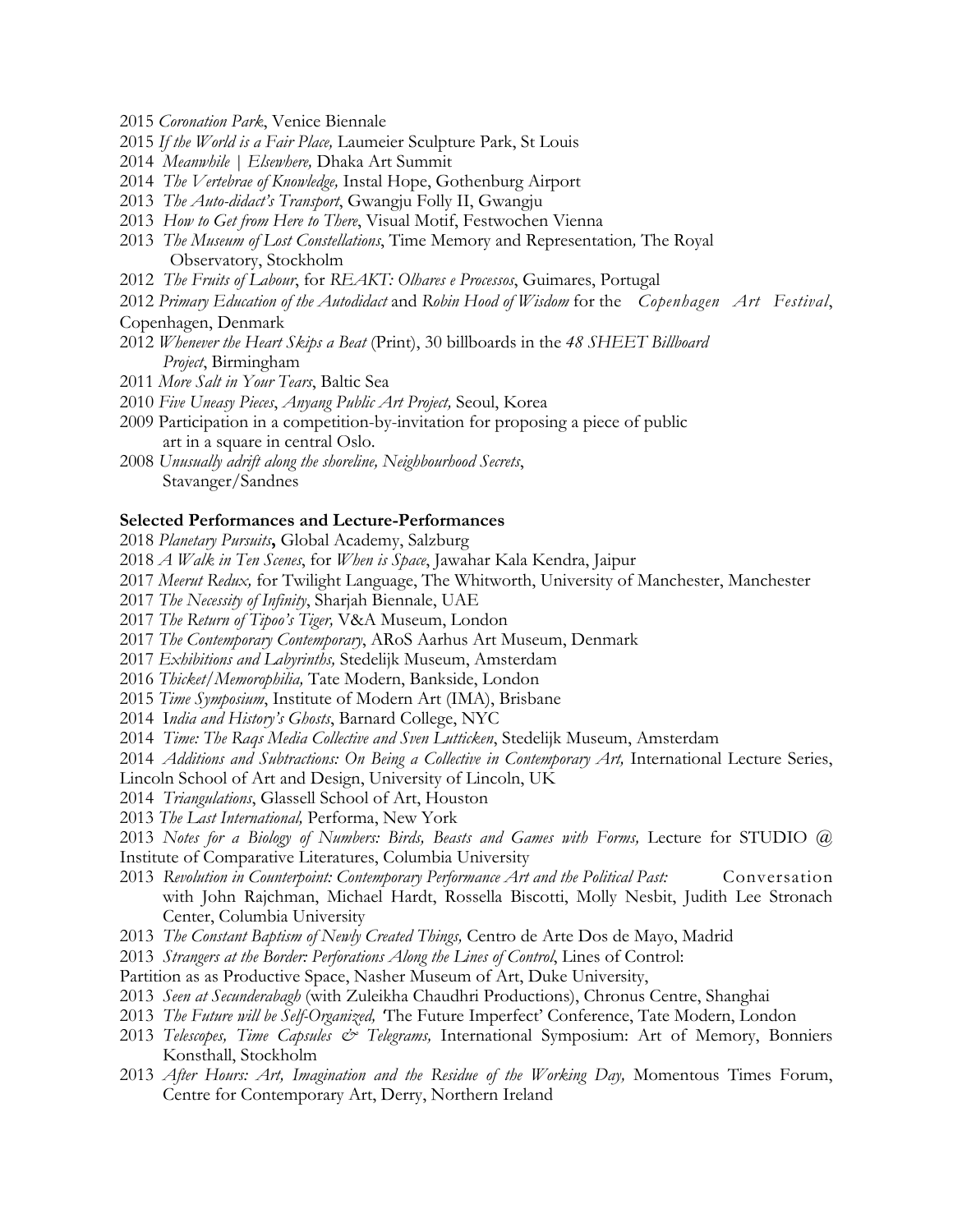- *Coronation Park*, Venice Biennale
- *If the World is a Fair Place,* Laumeier Sculpture Park, St Louis
- *Meanwhile | Elsewhere,* Dhaka Art Summit
- *The Vertebrae of Knowledge,* Instal Hope, Gothenburg Airport
- *The Auto-didact's Transport*, Gwangju Folly II, Gwangju
- *How to Get from Here to There*, Visual Motif, Festwochen Vienna
- *The Museum of Lost Constellations*, Time Memory and Representation*,* The Royal Observatory, Stockholm
- *The Fruits of Labour*, for *REAKT: Olhares e Processos*, Guimares, Portugal
- *Primary Education of the Autodidact* and *Robin Hood of Wisdom* for the *Copenhagen Art Festival*,
- Copenhagen, Denmark
- *Whenever the Heart Skips a Beat* (Print), 30 billboards in the *48 SHEET Billboard Project*, Birmingham
- *More Salt in Your Tears*, Baltic Sea
- *Five Uneasy Pieces*, *Anyang Public Art Project,* Seoul, Korea
- 2009 Participation in a competition-by-invitation for proposing a piece of public art in a square in central Oslo.
- *Unusually adrift along the shoreline, Neighbourhood Secrets*, Stavanger/Sandnes

### **Selected Performances and Lecture-Performances**

- *Planetary Pursuits***,** Global Academy, Salzburg
- *A Walk in Ten Scenes*, for *When is Space*, Jawahar Kala Kendra, Jaipur
- *Meerut Redux,* for Twilight Language, The Whitworth, University of Manchester, Manchester
- *The Necessity of Infinity*, Sharjah Biennale, UAE
- *The Return of Tipoo's Tiger,* V&A Museum, London
- *The Contemporary Contemporary*, ARoS Aarhus Art Museum, Denmark
- *Exhibitions and Labyrinths,* Stedelijk Museum, Amsterdam
- *Thicket/Memorophilia,* Tate Modern, Bankside, London
- *Time Symposium*, Institute of Modern Art (IMA), Brisbane
- 2014 I*ndia and History's Ghosts*, Barnard College, NYC
- *Time: The Raqs Media Collective and Sven Lutticken*, Stedelijk Museum, Amsterdam
- *Additions and Subtractions: On Being a Collective in Contemporary Art*, International Lecture Series,

Lincoln School of Art and Design, University of Lincoln, UK

- *Triangulations*, Glassell School of Art, Houston
- *The Last International,* Performa, New York
- 2013 Notes for a Biology of Numbers: Birds, Beasts and Games with Forms, Lecture for STUDIO @ Institute of Comparative Literatures, Columbia University
- 2013 Revolution in Counterpoint: Contemporary Performance Art and the Political Past: Conversation with John Rajchman, Michael Hardt, Rossella Biscotti, Molly Nesbit, Judith Lee Stronach Center, Columbia University
- *The Constant Baptism of Newly Created Things,* Centro de Arte Dos de Mayo, Madrid
- *Strangers at the Border: Perforations Along the Lines of Control*, Lines of Control:
- Partition as as Productive Space, Nasher Museum of Art, Duke University,
- *Seen at Secunderabagh* (with Zuleikha Chaudhri Productions), Chronus Centre, Shanghai
- *The Future will be Self-Organized, '*The Future Imperfect' Conference, Tate Modern, London
- *Telescopes, Time Capsules & Telegrams,* International Symposium: Art of Memory, Bonniers Konsthall, Stockholm
- *After Hours: Art, Imagination and the Residue of the Working Day, Momentous Times Forum,* Centre for Contemporary Art, Derry, Northern Ireland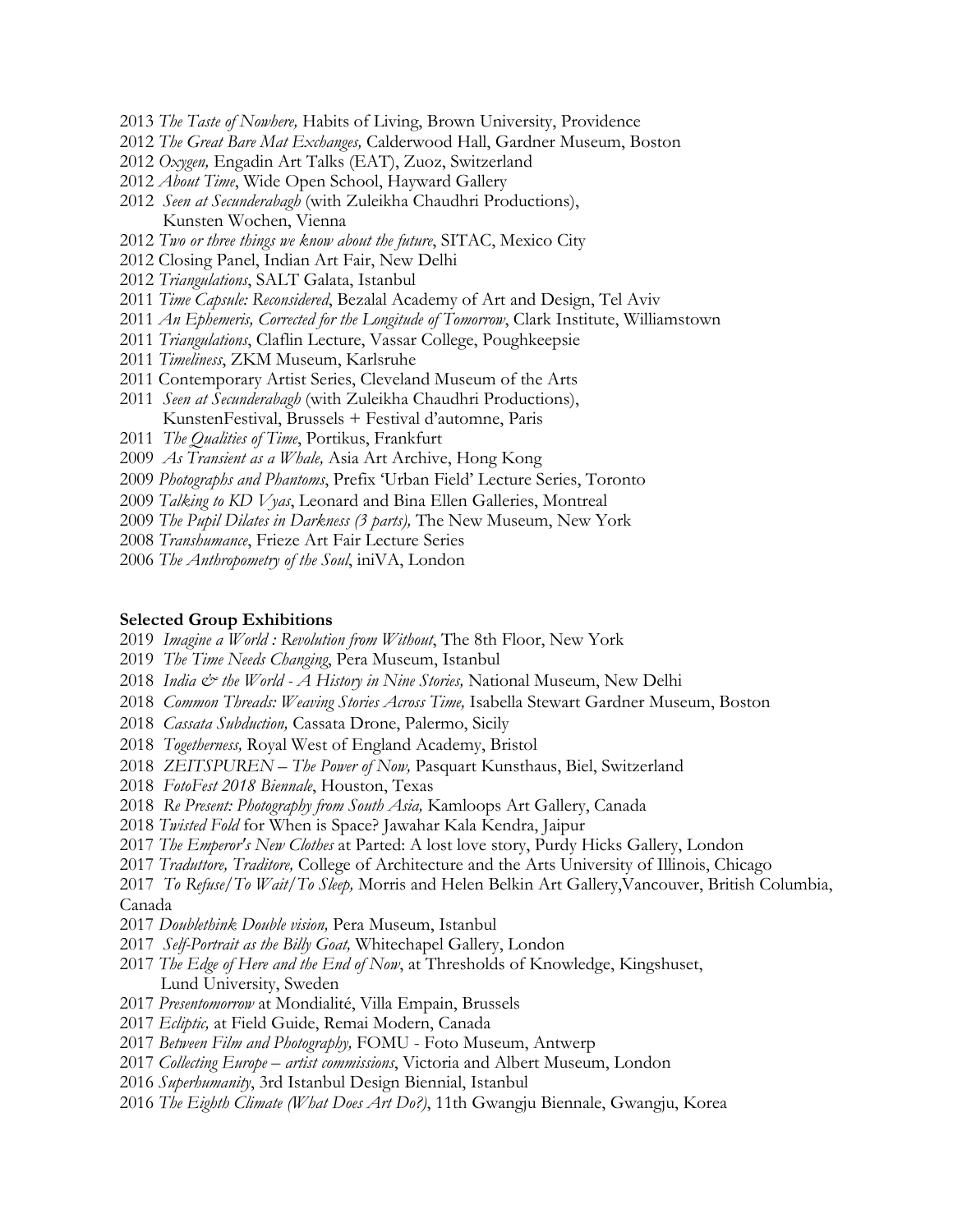- *The Taste of Nowhere,* Habits of Living, Brown University, Providence
- *The Great Bare Mat Exchanges,* Calderwood Hall, Gardner Museum, Boston
- *Oxygen,* Engadin Art Talks (EAT), Zuoz, Switzerland
- *About Time*, Wide Open School, Hayward Gallery
- *Seen at Secunderabagh* (with Zuleikha Chaudhri Productions), Kunsten Wochen, Vienna
- *Two or three things we know about the future*, SITAC, Mexico City
- 2012 Closing Panel, Indian Art Fair, New Delhi
- *Triangulations*, SALT Galata, Istanbul
- *Time Capsule: Reconsidered*, Bezalal Academy of Art and Design, Tel Aviv
- *An Ephemeris, Corrected for the Longitude of Tomorrow*, Clark Institute, Williamstown
- *Triangulations*, Claflin Lecture, Vassar College, Poughkeepsie
- *Timeliness*, ZKM Museum, Karlsruhe
- 2011 Contemporary Artist Series, Cleveland Museum of the Arts
- *Seen at Secunderabagh* (with Zuleikha Chaudhri Productions), KunstenFestival, Brussels + Festival d'automne, Paris
- *The Qualities of Time*, Portikus, Frankfurt
- *As Transient as a Whale,* Asia Art Archive, Hong Kong
- *Photographs and Phantoms*, Prefix 'Urban Field' Lecture Series, Toronto
- *Talking to KD Vyas*, Leonard and Bina Ellen Galleries, Montreal
- *The Pupil Dilates in Darkness (3 parts),* The New Museum, New York
- *Transhumance*, Frieze Art Fair Lecture Series
- *The Anthropometry of the Soul*, iniVA, London

#### **Selected Group Exhibitions**

- *Imagine a World : Revolution from Without*, The 8th Floor, New York
- *The Time Needs Changing*, Pera Museum, Istanbul
- *India & the World A History in Nine Stories,* National Museum, New Delhi
- *Common Threads: Weaving Stories Across Time,* Isabella Stewart Gardner Museum, Boston
- *Cassata Subduction,* Cassata Drone, Palermo, Sicily
- *Togetherness,* Royal West of England Academy, Bristol
- *ZEITSPUREN The Power of Now,* Pasquart Kunsthaus, Biel, Switzerland
- *FotoFest 2018 Biennale*, Houston, Texas
- *Re Present: Photography from South Asia,* Kamloops Art Gallery, Canada
- *Twisted Fold* for When is Space? Jawahar Kala Kendra, Jaipur
- *The Emperor's New Clothes* at Parted: A lost love story, Purdy Hicks Gallery, London
- *Traduttore, Traditore,* College of Architecture and the Arts University of Illinois, Chicago
- *To Refuse/To Wait/To Sleep,* Morris and Helen Belkin Art Gallery,Vancouver, British Columbia, Canada
- *Doublethink Double vision,* Pera Museum, Istanbul
- *Self-Portrait as the Billy Goat,* Whitechapel Gallery, London
- *The Edge of Here and the End of Now*, at Thresholds of Knowledge, Kingshuset, Lund University, Sweden
- *Presentomorrow* at Mondialité, Villa Empain, Brussels
- *Ecliptic,* at Field Guide, Remai Modern, Canada
- *Between Film and Photography,* FOMU Foto Museum, Antwerp
- *Collecting Europe artist commissions*, Victoria and Albert Museum, London
- *Superhumanity*, 3rd Istanbul Design Biennial, Istanbul
- *The Eighth Climate (What Does Art Do?)*, 11th Gwangju Biennale, Gwangju, Korea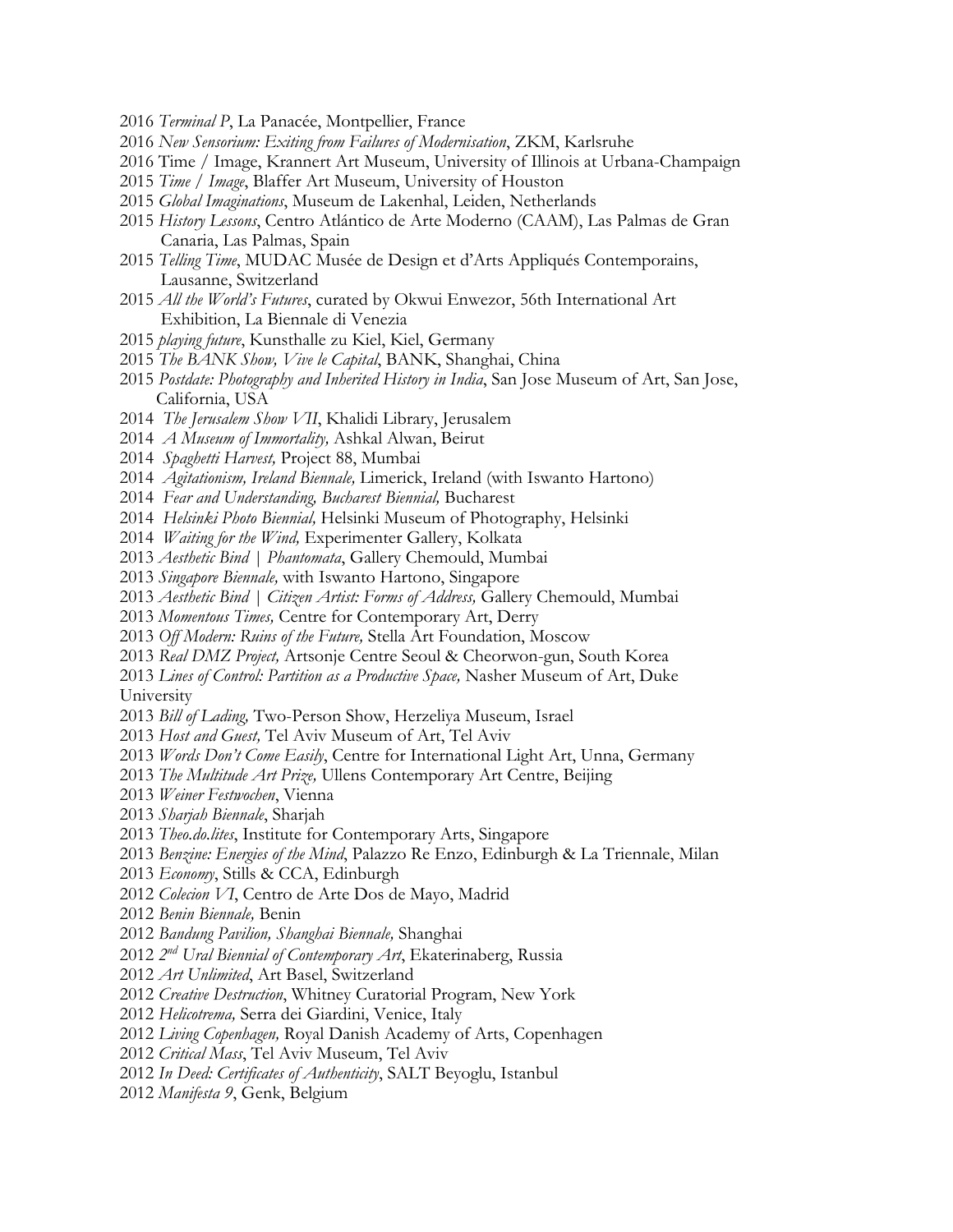- *Terminal P*, La Panacée, Montpellier, France
- *New Sensorium: Exiting from Failures of Modernisation*, ZKM, Karlsruhe
- 2016 Time / Image, Krannert Art Museum, University of Illinois at Urbana-Champaign
- *Time / Image*, Blaffer Art Museum, University of Houston
- *Global Imaginations*, Museum de Lakenhal, Leiden, Netherlands
- *History Lessons*, Centro Atlántico de Arte Moderno (CAAM), Las Palmas de Gran Canaria, Las Palmas, Spain
- *Telling Time*, MUDAC Musée de Design et d'Arts Appliqués Contemporains, Lausanne, Switzerland
- *All the World's Futures*, curated by Okwui Enwezor, 56th International Art Exhibition, La Biennale di Venezia
- *playing future*, Kunsthalle zu Kiel, Kiel, Germany
- *The BANK Show, Vive le Capital*, BANK, Shanghai, China
- *Postdate: Photography and Inherited History in India*, San Jose Museum of Art, San Jose, California, USA
- *The Jerusalem Show VII*, Khalidi Library, Jerusalem
- *A Museum of Immortality,* Ashkal Alwan, Beirut
- *Spaghetti Harvest,* Project 88, Mumbai
- *Agitationism, Ireland Biennale,* Limerick, Ireland (with Iswanto Hartono)
- *Fear and Understanding, Bucharest Biennial,* Bucharest
- *Helsinki Photo Biennial,* Helsinki Museum of Photography, Helsinki
- *Waiting for the Wind,* Experimenter Gallery, Kolkata
- *Aesthetic Bind | Phantomata*, Gallery Chemould, Mumbai
- *Singapore Biennale,* with Iswanto Hartono, Singapore
- *Aesthetic Bind | Citizen Artist: Forms of Address,* Gallery Chemould, Mumbai
- *Momentous Times,* Centre for Contemporary Art, Derry
- *Off Modern: Ruins of the Future,* Stella Art Foundation, Moscow
- *Real DMZ Project,* Artsonje Centre Seoul & Cheorwon-gun, South Korea

*Lines of Control: Partition as a Productive Space,* Nasher Museum of Art, Duke University

- *Bill of Lading,* Two-Person Show, Herzeliya Museum, Israel
- *Host and Guest,* Tel Aviv Museum of Art, Tel Aviv
- *Words Don't Come Easily*, Centre for International Light Art, Unna, Germany
- *The Multitude Art Prize,* Ullens Contemporary Art Centre, Beijing
- *Weiner Festwochen*, Vienna
- *Sharjah Biennale*, Sharjah
- *Theo.do.lites*, Institute for Contemporary Arts, Singapore
- *Benzine: Energies of the Mind*, Palazzo Re Enzo, Edinburgh & La Triennale, Milan
- *Economy*, Stills & CCA, Edinburgh
- *Colecion VI*, Centro de Arte Dos de Mayo, Madrid
- *Benin Biennale,* Benin
- *Bandung Pavilion, Shanghai Biennale,* Shanghai
- *2nd Ural Biennial of Contemporary Art*, Ekaterinaberg, Russia
- *Art Unlimited*, Art Basel, Switzerland
- *Creative Destruction*, Whitney Curatorial Program, New York
- *Helicotrema,* Serra dei Giardini, Venice, Italy
- *Living Copenhagen,* Royal Danish Academy of Arts, Copenhagen
- *Critical Mass*, Tel Aviv Museum, Tel Aviv
- *In Deed: Certificates of Authenticity*, SALT Beyoglu, Istanbul
- *Manifesta 9*, Genk, Belgium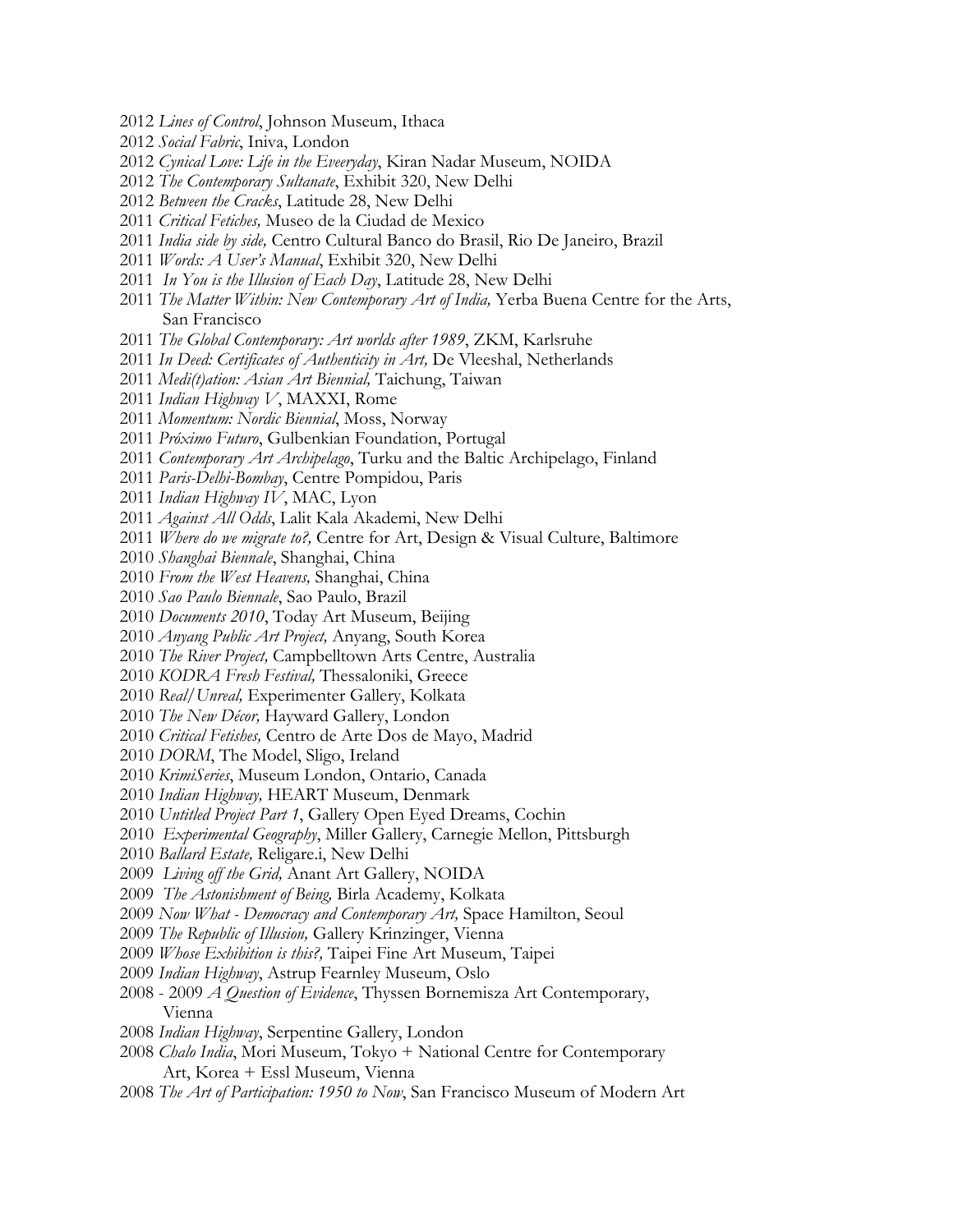- *Lines of Control*, Johnson Museum, Ithaca
- *Social Fabric*, Iniva, London
- *Cynical Love: Life in the Eveeryday*, Kiran Nadar Museum, NOIDA
- *The Contemporary Sultanate*, Exhibit 320, New Delhi
- *Between the Cracks*, Latitude 28, New Delhi
- *Critical Fetiches,* Museo de la Ciudad de Mexico
- *India side by side,* Centro Cultural Banco do Brasil, Rio De Janeiro, Brazil
- *Words: A User's Manual*, Exhibit 320, New Delhi
- *In You is the Illusion of Each Day*, Latitude 28, New Delhi
- *The Matter Within: New Contemporary Art of India,* Yerba Buena Centre for the Arts, San Francisco
- *The Global Contemporary: Art worlds after 1989*, ZKM, Karlsruhe
- *In Deed: Certificates of Authenticity in Art,* De Vleeshal, Netherlands
- *Medi(t)ation: Asian Art Biennial,* Taichung, Taiwan
- *Indian Highway V*, MAXXI, Rome
- *Momentum: Nordic Biennial*, Moss, Norway
- *Próximo Futuro*, Gulbenkian Foundation, Portugal
- *Contemporary Art Archipelago*, Turku and the Baltic Archipelago, Finland
- *Paris-Delhi-Bombay*, Centre Pompidou, Paris
- *Indian Highway IV*, MAC, Lyon
- *Against All Odds*, Lalit Kala Akademi, New Delhi
- *Where do we migrate to?,* Centre for Art, Design & Visual Culture, Baltimore
- *Shanghai Biennale*, Shanghai, China
- *From the West Heavens,* Shanghai, China
- *Sao Paulo Biennale*, Sao Paulo, Brazil
- *Documents 2010*, Today Art Museum, Beijing
- *Anyang Public Art Project,* Anyang, South Korea
- *The River Project,* Campbelltown Arts Centre, Australia
- *KODRA Fresh Festival,* Thessaloniki, Greece
- *Real/Unreal,* Experimenter Gallery, Kolkata
- *The New Décor,* Hayward Gallery, London
- *Critical Fetishes,* Centro de Arte Dos de Mayo, Madrid
- *DORM*, The Model, Sligo, Ireland
- *KrimiSeries*, Museum London, Ontario, Canada
- *Indian Highway,* HEART Museum, Denmark
- *Untitled Project Part 1*, Gallery Open Eyed Dreams, Cochin
- *Experimental Geography*, Miller Gallery, Carnegie Mellon, Pittsburgh
- *Ballard Estate,* Religare.i, New Delhi
- *Living off the Grid,* Anant Art Gallery, NOIDA
- *The Astonishment of Being,* Birla Academy, Kolkata
- *Now What Democracy and Contemporary Art,* Space Hamilton, Seoul
- *The Republic of Illusion,* Gallery Krinzinger, Vienna
- *Whose Exhibition is this?,* Taipei Fine Art Museum, Taipei
- *Indian Highway*, Astrup Fearnley Museum, Oslo
- 2008 2009 *A Question of Evidence*, Thyssen Bornemisza Art Contemporary, Vienna
- *Indian Highway*, Serpentine Gallery, London
- *Chalo India*, Mori Museum, Tokyo + National Centre for Contemporary Art, Korea + Essl Museum, Vienna
- *The Art of Participation: 1950 to Now*, San Francisco Museum of Modern Art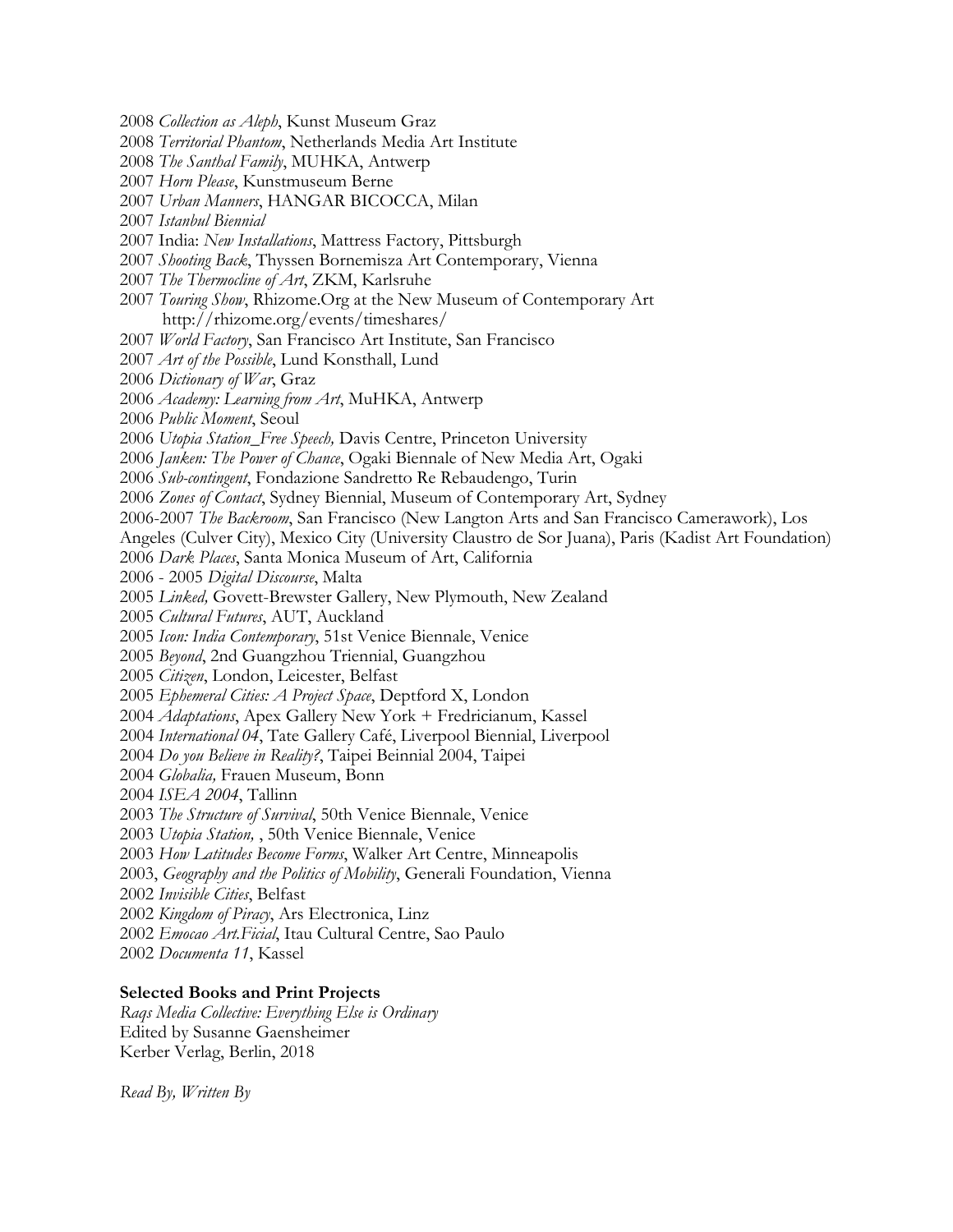- *Collection as Aleph*, Kunst Museum Graz
- *Territorial Phantom*, Netherlands Media Art Institute
- *The Santhal Family*, MUHKA, Antwerp
- *Horn Please*, Kunstmuseum Berne
- *Urban Manners*, HANGAR BICOCCA, Milan
- *Istanbul Biennial*
- 2007 India: *New Installations*, Mattress Factory, Pittsburgh
- *Shooting Back*, Thyssen Bornemisza Art Contemporary, Vienna
- *The Thermocline of Art*, ZKM, Karlsruhe
- *Touring Show*, Rhizome.Org at the New Museum of Contemporary Art http://rhizome.org/events/timeshares/
- *World Factory*, San Francisco Art Institute, San Francisco
- *Art of the Possible*, Lund Konsthall, Lund
- *Dictionary of War*, Graz
- *Academy: Learning from Art*, MuHKA, Antwerp
- *Public Moment*, Seoul
- *Utopia Station\_Free Speech,* Davis Centre, Princeton University
- *Janken: The Power of Chance*, Ogaki Biennale of New Media Art, Ogaki
- *Sub-contingent*, Fondazione Sandretto Re Rebaudengo, Turin
- *Zones of Contact*, Sydney Biennial, Museum of Contemporary Art, Sydney
- 2006-2007 *The Backroom*, San Francisco (New Langton Arts and San Francisco Camerawork), Los
- Angeles (Culver City), Mexico City (University Claustro de Sor Juana), Paris (Kadist Art Foundation)
- *Dark Places*, Santa Monica Museum of Art, California
- 2006 2005 *Digital Discourse*, Malta
- *Linked,* Govett-Brewster Gallery, New Plymouth, New Zealand
- *Cultural Futures*, AUT, Auckland
- *Icon: India Contemporary*, 51st Venice Biennale, Venice
- *Beyond*, 2nd Guangzhou Triennial, Guangzhou
- *Citizen*, London, Leicester, Belfast
- *Ephemeral Cities: A Project Space*, Deptford X, London
- *Adaptations*, Apex Gallery New York + Fredricianum, Kassel
- *International 04*, Tate Gallery Café, Liverpool Biennial, Liverpool
- *Do you Believe in Reality?*, Taipei Beinnial 2004, Taipei
- *Globalia,* Frauen Museum, Bonn
- *ISEA 2004*, Tallinn
- *The Structure of Survival*, 50th Venice Biennale, Venice
- *Utopia Station,* , 50th Venice Biennale, Venice
- *How Latitudes Become Forms*, Walker Art Centre, Minneapolis
- 2003, *Geography and the Politics of Mobility*, Generali Foundation, Vienna
- *Invisible Cities*, Belfast
- *Kingdom of Piracy*, Ars Electronica, Linz
- *Emocao Art.Ficial*, Itau Cultural Centre, Sao Paulo
- *Documenta 11*, Kassel

#### **Selected Books and Print Projects**

*Raqs Media Collective: Everything Else is Ordinary* Edited by Susanne Gaensheimer Kerber Verlag, Berlin, 2018

*Read By, Written By*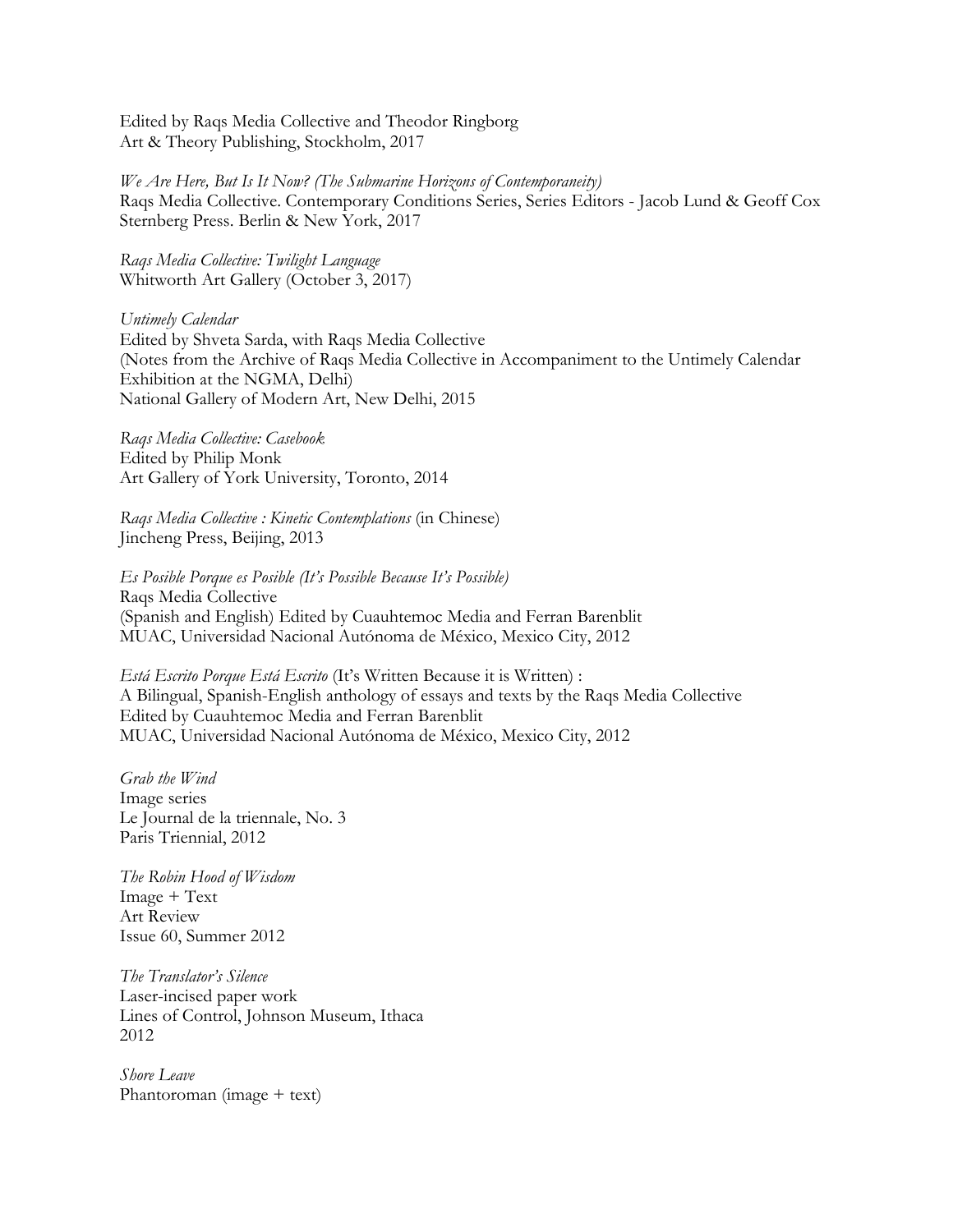Edited by Raqs Media Collective and Theodor Ringborg Art & Theory Publishing, Stockholm, 2017

*We Are Here, But Is It Now? (The Submarine Horizons of Contemporaneity)* Raqs Media Collective. Contemporary Conditions Series, Series Editors - Jacob Lund & Geoff Cox Sternberg Press. Berlin & New York, 2017

*Raqs Media Collective: Twilight Language* Whitworth Art Gallery (October 3, 2017)

*Untimely Calendar*  Edited by Shveta Sarda, with Raqs Media Collective (Notes from the Archive of Raqs Media Collective in Accompaniment to the Untimely Calendar Exhibition at the NGMA, Delhi) National Gallery of Modern Art, New Delhi, 2015

*Raqs Media Collective: Casebook* Edited by Philip Monk Art Gallery of York University, Toronto, 2014

*Raqs Media Collective : Kinetic Contemplations* (in Chinese) Jincheng Press, Beijing, 2013

*Es Posible Porque es Posible (It's Possible Because It's Possible)*  Raqs Media Collective (Spanish and English) Edited by Cuauhtemoc Media and Ferran Barenblit MUAC, Universidad Nacional Autónoma de México, Mexico City, 2012

*Está Escrito Porque Está Escrito* (It's Written Because it is Written) : A Bilingual, Spanish-English anthology of essays and texts by the Raqs Media Collective Edited by Cuauhtemoc Media and Ferran Barenblit MUAC, Universidad Nacional Autónoma de México, Mexico City, 2012

*Grab the Wind* Image series Le Journal de la triennale, No. 3 Paris Triennial, 2012

*The Robin Hood of Wisdom* Image + Text Art Review Issue 60, Summer 2012

*The Translator's Silence* Laser-incised paper work Lines of Control, Johnson Museum, Ithaca 2012

*Shore Leave* Phantoroman (image + text)